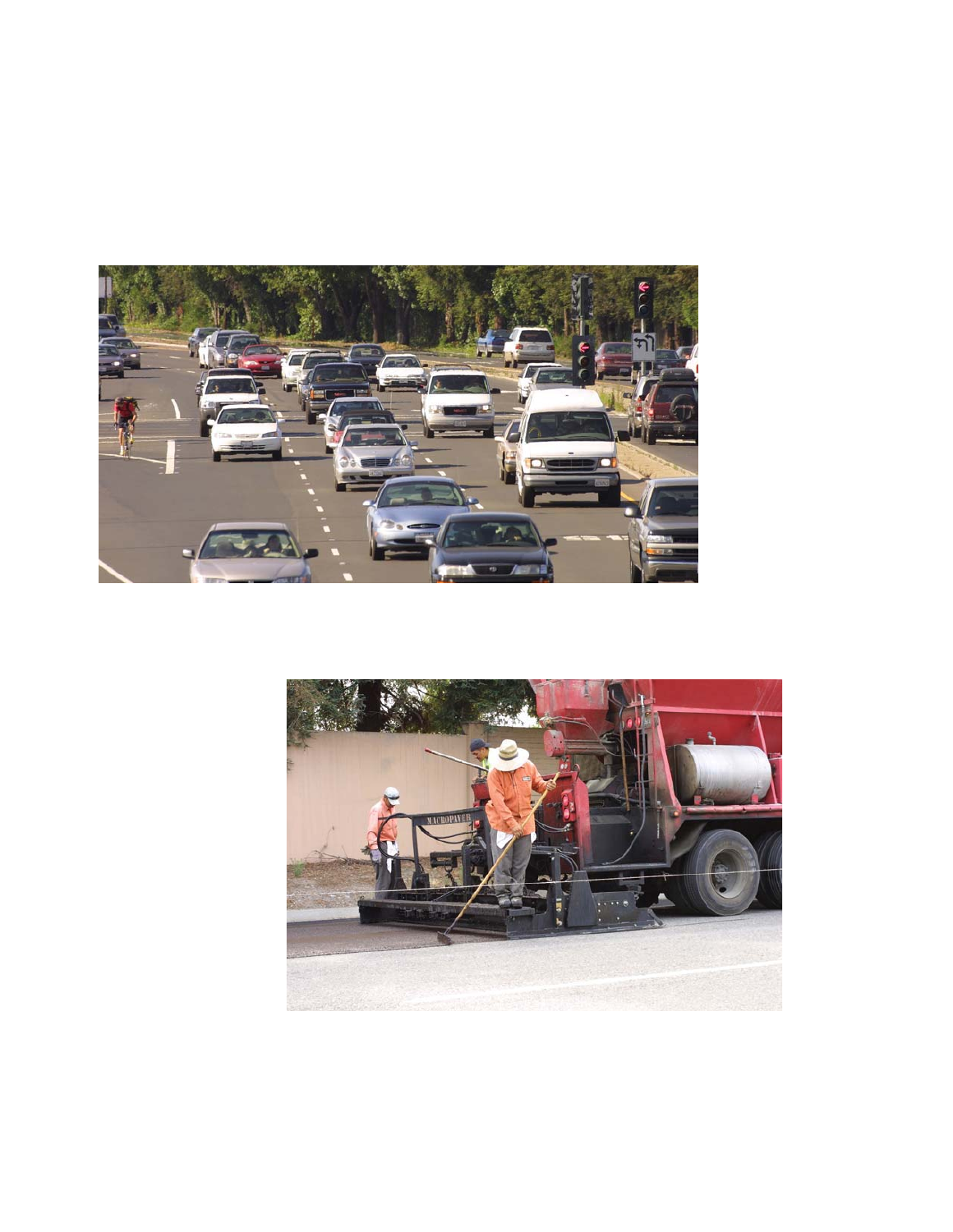

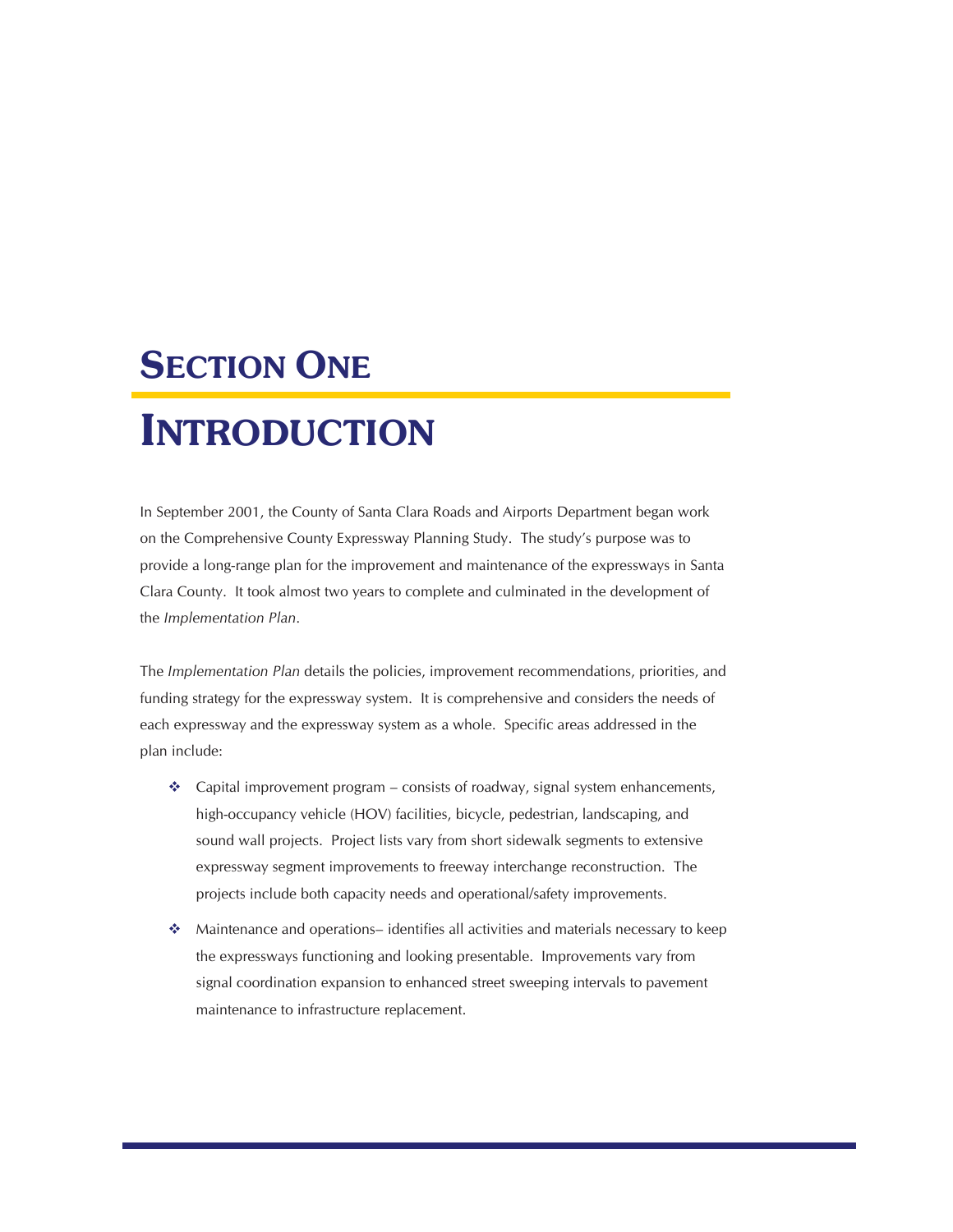# **SECTION ONE**

# INTRODUCTION

In September 2001, the County of Santa Clara Roads and Airports Department began work on the Comprehensive County Expressway Planning Study. The study's purpose was to provide a long-range plan for the improvement and maintenance of the expressways in Santa Clara County. It took almost two years to complete and culminated in the development of the *Implementation Plan*.

The *Implementation Plan* details the policies, improvement recommendations, priorities, and funding strategy for the expressway system. It is comprehensive and considers the needs of each expressway and the expressway system as a whole. Specific areas addressed in the plan include:

- $\triangleleft$  Capital improvement program consists of roadway, signal system enhancements, high-occupancy vehicle (HOV) facilities, bicycle, pedestrian, landscaping, and sound wall projects. Project lists vary from short sidewalk segments to extensive expressway segment improvements to freeway interchange reconstruction. The projects include both capacity needs and operational/safety improvements.
- Maintenance and operations– identifies all activities and materials necessary to keep the expressways functioning and looking presentable. Improvements vary from signal coordination expansion to enhanced street sweeping intervals to pavement maintenance to infrastructure replacement.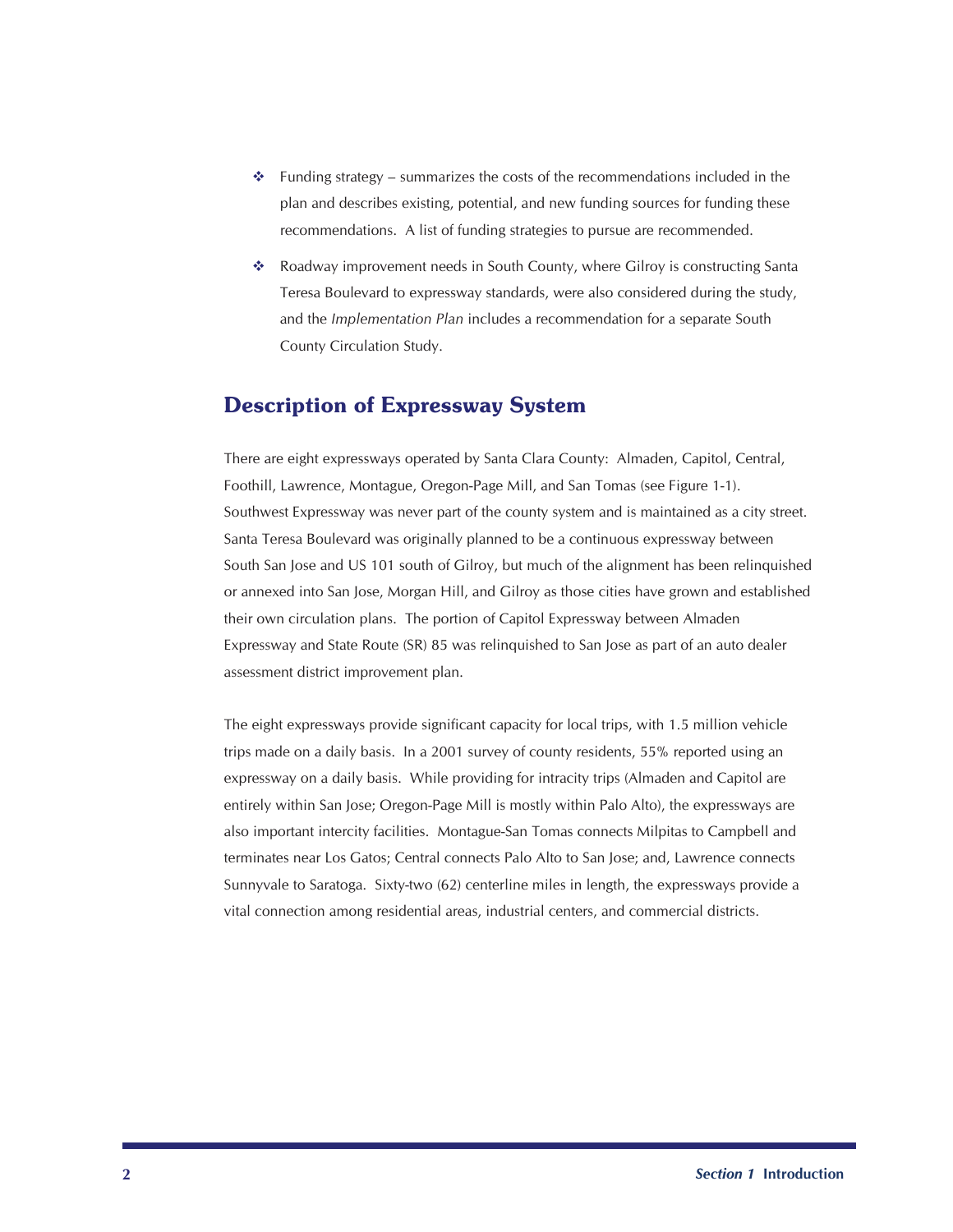- Funding strategy summarizes the costs of the recommendations included in the plan and describes existing, potential, and new funding sources for funding these recommendations. A list of funding strategies to pursue are recommended.
- Roadway improvement needs in South County, where Gilroy is constructing Santa Teresa Boulevard to expressway standards, were also considered during the study, and the *Implementation Plan* includes a recommendation for a separate South County Circulation Study.

#### Description of Expressway System

There are eight expressways operated by Santa Clara County: Almaden, Capitol, Central, Foothill, Lawrence, Montague, Oregon-Page Mill, and San Tomas (see Figure 1-1). Southwest Expressway was never part of the county system and is maintained as a city street. Santa Teresa Boulevard was originally planned to be a continuous expressway between South San Jose and US 101 south of Gilroy, but much of the alignment has been relinquished or annexed into San Jose, Morgan Hill, and Gilroy as those cities have grown and established their own circulation plans. The portion of Capitol Expressway between Almaden Expressway and State Route (SR) 85 was relinquished to San Jose as part of an auto dealer assessment district improvement plan.

The eight expressways provide significant capacity for local trips, with 1.5 million vehicle trips made on a daily basis. In a 2001 survey of county residents, 55% reported using an expressway on a daily basis. While providing for intracity trips (Almaden and Capitol are entirely within San Jose; Oregon-Page Mill is mostly within Palo Alto), the expressways are also important intercity facilities. Montague-San Tomas connects Milpitas to Campbell and terminates near Los Gatos; Central connects Palo Alto to San Jose; and, Lawrence connects Sunnyvale to Saratoga. Sixty-two (62) centerline miles in length, the expressways provide a vital connection among residential areas, industrial centers, and commercial districts.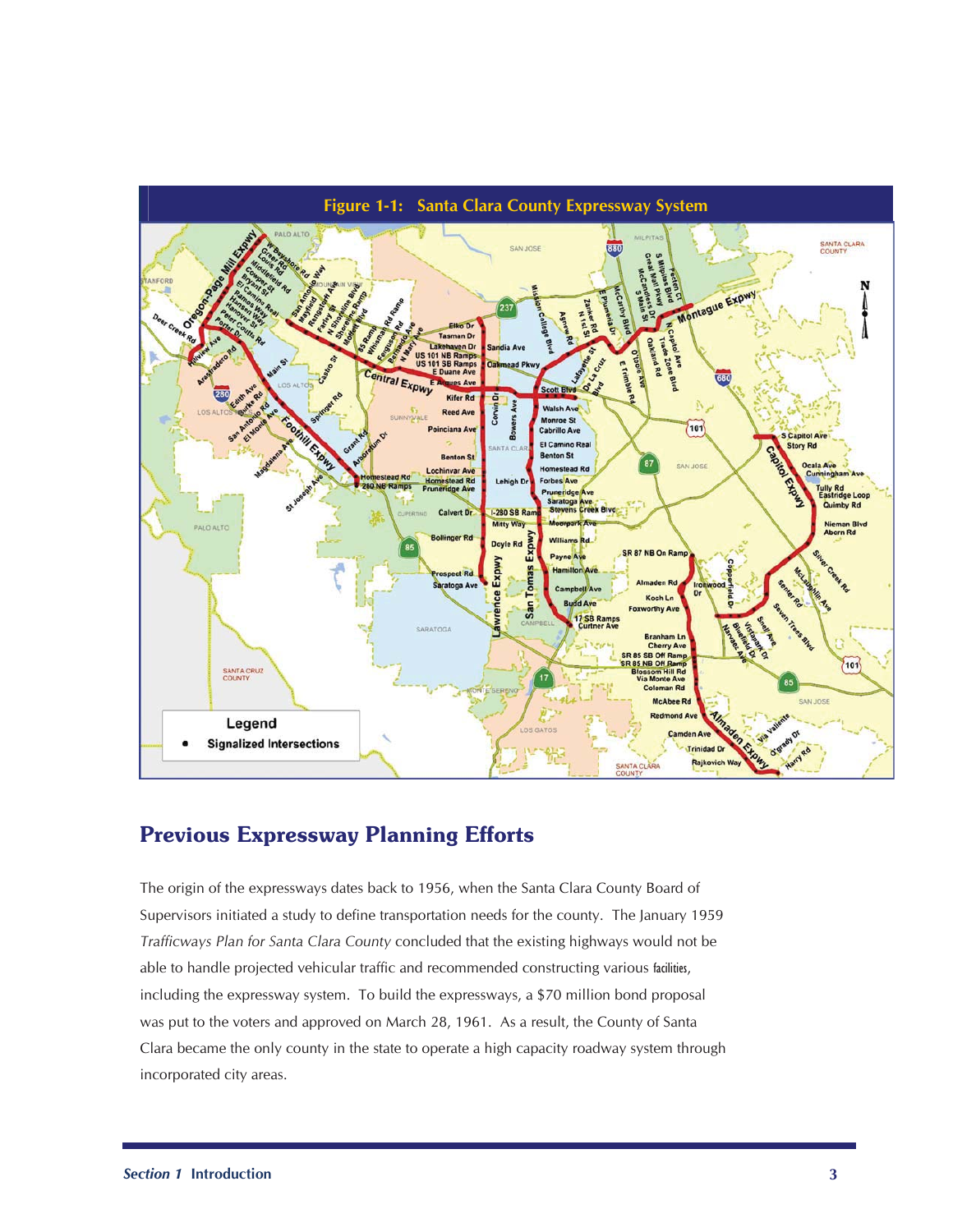

## Previous Expressway Planning Efforts

The origin of the expressways dates back to 1956, when the Santa Clara County Board of Supervisors initiated a study to define transportation needs for the county. The January 1959 *Trafficways Plan for Santa Clara County* concluded that the existing highways would not be able to handle projected vehicular traffic and recommended constructing various facilities, including the expressway system. To build the expressways, a \$70 million bond proposal was put to the voters and approved on March 28, 1961. As a result, the County of Santa Clara became the only county in the state to operate a high capacity roadway system through incorporated city areas.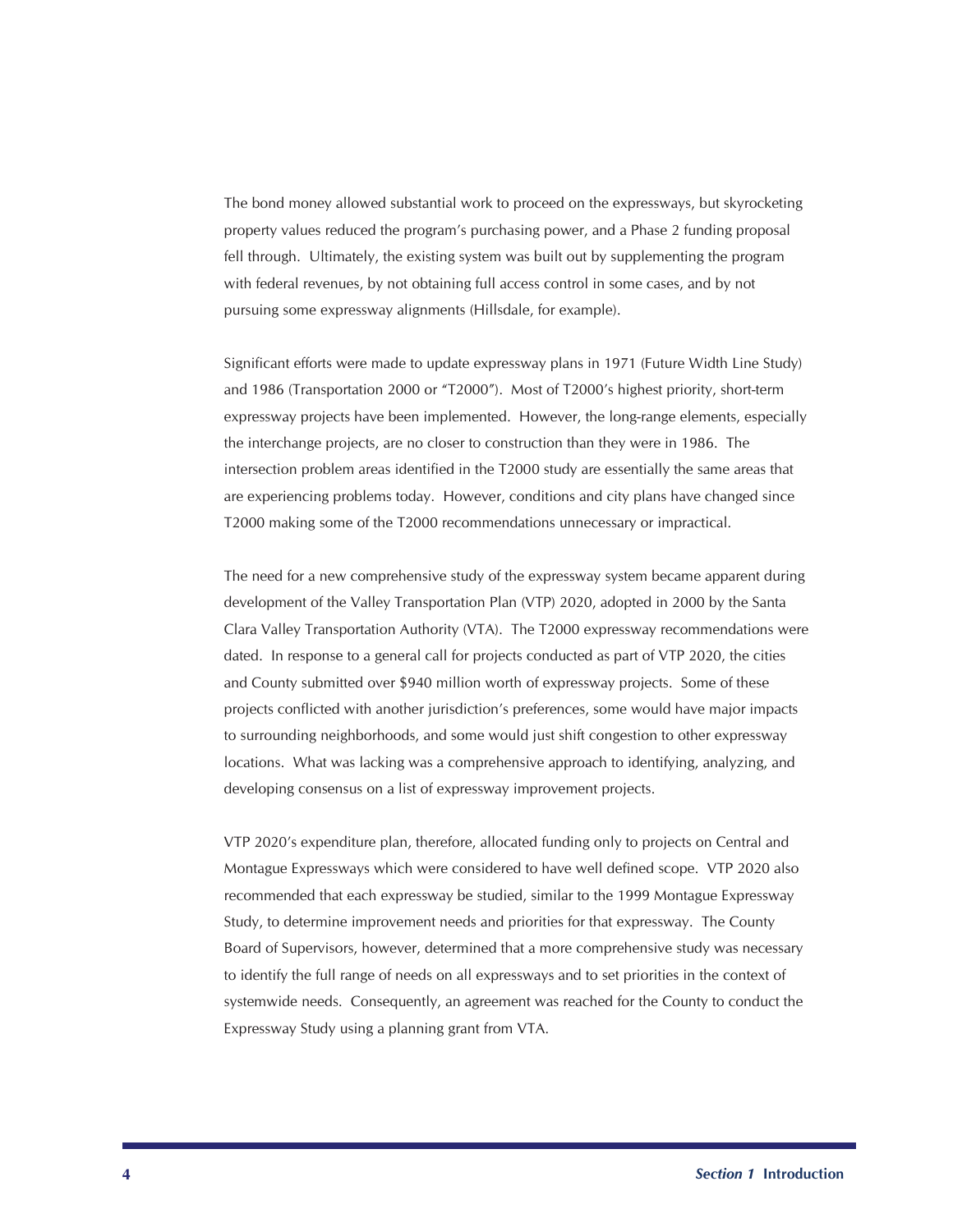The bond money allowed substantial work to proceed on the expressways, but skyrocketing property values reduced the program's purchasing power, and a Phase 2 funding proposal fell through. Ultimately, the existing system was built out by supplementing the program with federal revenues, by not obtaining full access control in some cases, and by not pursuing some expressway alignments (Hillsdale, for example).

Significant efforts were made to update expressway plans in 1971 (Future Width Line Study) and 1986 (Transportation 2000 or "T2000"). Most of T2000's highest priority, short-term expressway projects have been implemented. However, the long-range elements, especially the interchange projects, are no closer to construction than they were in 1986. The intersection problem areas identified in the T2000 study are essentially the same areas that are experiencing problems today. However, conditions and city plans have changed since T2000 making some of the T2000 recommendations unnecessary or impractical.

The need for a new comprehensive study of the expressway system became apparent during development of the Valley Transportation Plan (VTP) 2020, adopted in 2000 by the Santa Clara Valley Transportation Authority (VTA). The T2000 expressway recommendations were dated. In response to a general call for projects conducted as part of VTP 2020, the cities and County submitted over \$940 million worth of expressway projects. Some of these projects conflicted with another jurisdiction's preferences, some would have major impacts to surrounding neighborhoods, and some would just shift congestion to other expressway locations. What was lacking was a comprehensive approach to identifying, analyzing, and developing consensus on a list of expressway improvement projects.

VTP 2020's expenditure plan, therefore, allocated funding only to projects on Central and Montague Expressways which were considered to have well defined scope. VTP 2020 also recommended that each expressway be studied, similar to the 1999 Montague Expressway Study, to determine improvement needs and priorities for that expressway. The County Board of Supervisors, however, determined that a more comprehensive study was necessary to identify the full range of needs on all expressways and to set priorities in the context of systemwide needs. Consequently, an agreement was reached for the County to conduct the Expressway Study using a planning grant from VTA.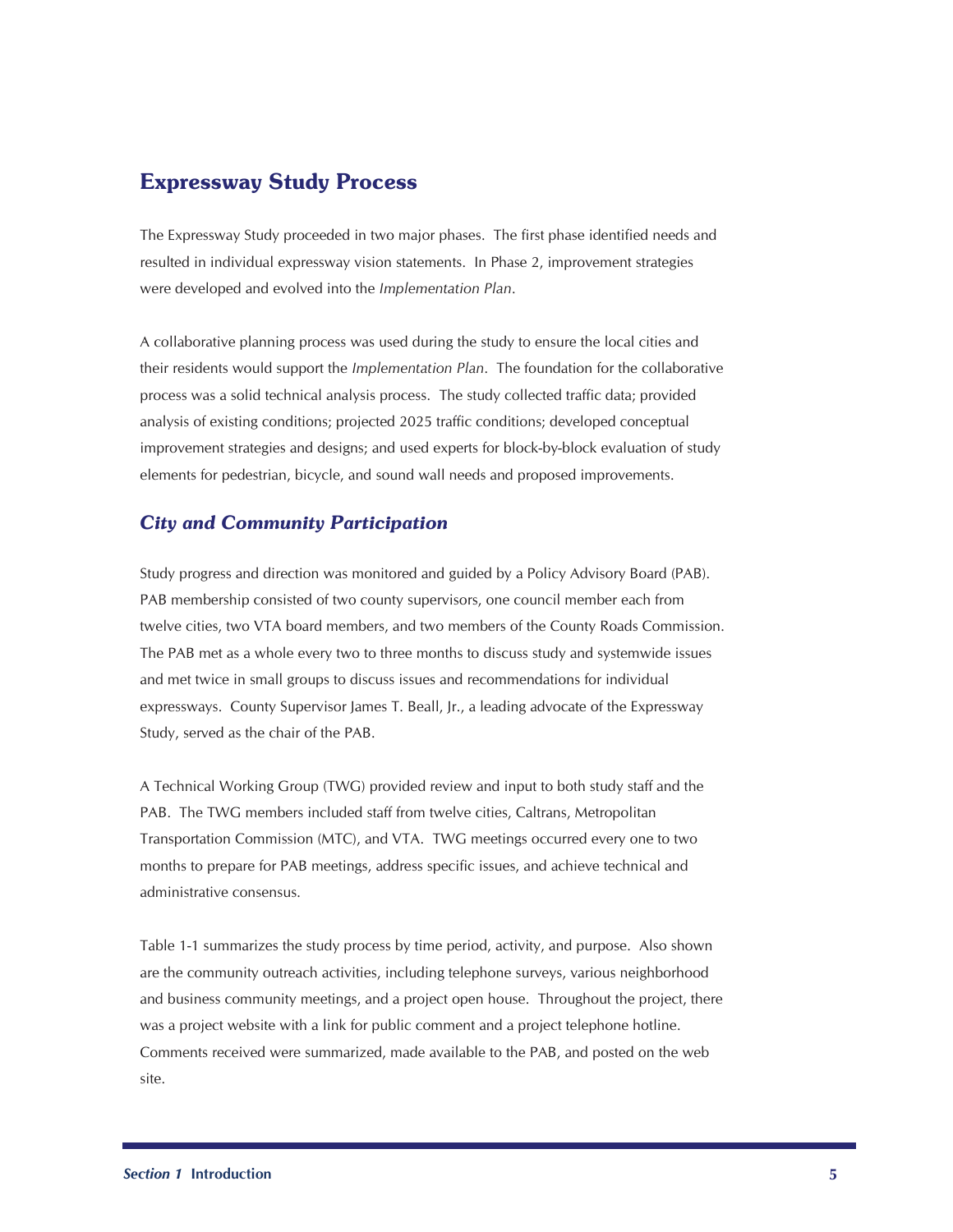### Expressway Study Process

The Expressway Study proceeded in two major phases. The first phase identified needs and resulted in individual expressway vision statements. In Phase 2, improvement strategies were developed and evolved into the *Implementation Plan*.

A collaborative planning process was used during the study to ensure the local cities and their residents would support the *Implementation Plan*. The foundation for the collaborative process was a solid technical analysis process. The study collected traffic data; provided analysis of existing conditions; projected 2025 traffic conditions; developed conceptual improvement strategies and designs; and used experts for block-by-block evaluation of study elements for pedestrian, bicycle, and sound wall needs and proposed improvements.

#### *City and Community Participation*

Study progress and direction was monitored and guided by a Policy Advisory Board (PAB). PAB membership consisted of two county supervisors, one council member each from twelve cities, two VTA board members, and two members of the County Roads Commission. The PAB met as a whole every two to three months to discuss study and systemwide issues and met twice in small groups to discuss issues and recommendations for individual expressways. County Supervisor James T. Beall, Jr., a leading advocate of the Expressway Study, served as the chair of the PAB.

A Technical Working Group (TWG) provided review and input to both study staff and the PAB. The TWG members included staff from twelve cities, Caltrans, Metropolitan Transportation Commission (MTC), and VTA. TWG meetings occurred every one to two months to prepare for PAB meetings, address specific issues, and achieve technical and administrative consensus.

Table 1-1 summarizes the study process by time period, activity, and purpose. Also shown are the community outreach activities, including telephone surveys, various neighborhood and business community meetings, and a project open house. Throughout the project, there was a project website with a link for public comment and a project telephone hotline. Comments received were summarized, made available to the PAB, and posted on the web site.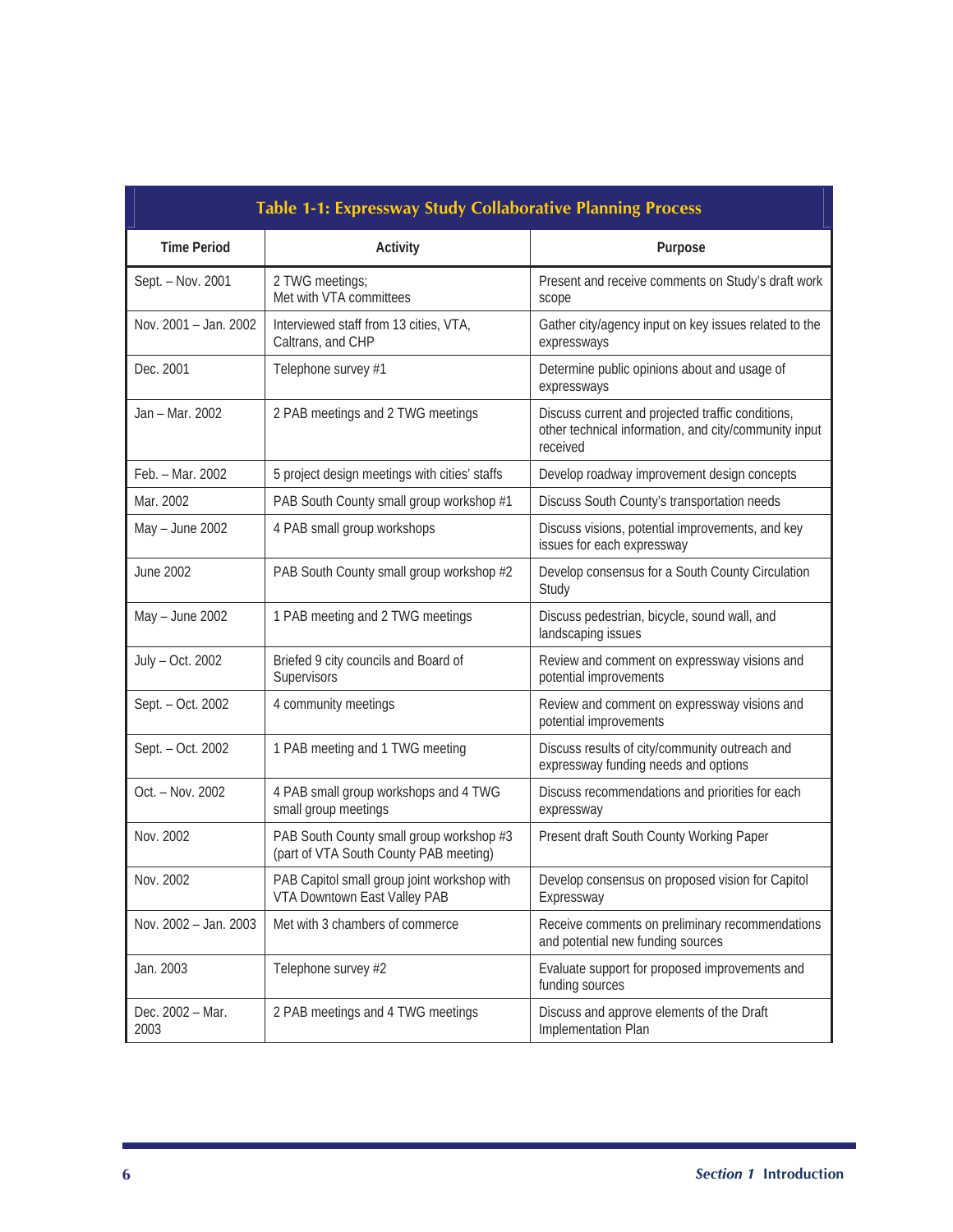| <b>Table 1-1: Expressway Study Collaborative Planning Process</b> |                                                                                    |                                                                                                                        |  |
|-------------------------------------------------------------------|------------------------------------------------------------------------------------|------------------------------------------------------------------------------------------------------------------------|--|
| <b>Time Period</b>                                                | Activity                                                                           | Purpose                                                                                                                |  |
| Sept. - Nov. 2001                                                 | 2 TWG meetings;<br>Met with VTA committees                                         | Present and receive comments on Study's draft work<br>scope                                                            |  |
| Nov. 2001 - Jan. 2002                                             | Interviewed staff from 13 cities, VTA,<br>Caltrans, and CHP                        | Gather city/agency input on key issues related to the<br>expressways                                                   |  |
| Dec. 2001                                                         | Telephone survey #1                                                                | Determine public opinions about and usage of<br>expressways                                                            |  |
| Jan - Mar. 2002                                                   | 2 PAB meetings and 2 TWG meetings                                                  | Discuss current and projected traffic conditions,<br>other technical information, and city/community input<br>received |  |
| Feb. - Mar. 2002                                                  | 5 project design meetings with cities' staffs                                      | Develop roadway improvement design concepts                                                                            |  |
| Mar. 2002                                                         | PAB South County small group workshop #1                                           | Discuss South County's transportation needs                                                                            |  |
| May - June 2002                                                   | 4 PAB small group workshops                                                        | Discuss visions, potential improvements, and key<br>issues for each expressway                                         |  |
| <b>June 2002</b>                                                  | PAB South County small group workshop #2                                           | Develop consensus for a South County Circulation<br>Study                                                              |  |
| May - June 2002                                                   | 1 PAB meeting and 2 TWG meetings                                                   | Discuss pedestrian, bicycle, sound wall, and<br>landscaping issues                                                     |  |
| July - Oct. 2002                                                  | Briefed 9 city councils and Board of<br>Supervisors                                | Review and comment on expressway visions and<br>potential improvements                                                 |  |
| Sept. - Oct. 2002                                                 | 4 community meetings                                                               | Review and comment on expressway visions and<br>potential improvements                                                 |  |
| Sept. - Oct. 2002                                                 | 1 PAB meeting and 1 TWG meeting                                                    | Discuss results of city/community outreach and<br>expressway funding needs and options                                 |  |
| Oct. - Nov. 2002                                                  | 4 PAB small group workshops and 4 TWG<br>small group meetings                      | Discuss recommendations and priorities for each<br>expressway                                                          |  |
| Nov. 2002                                                         | PAB South County small group workshop #3<br>(part of VTA South County PAB meeting) | Present draft South County Working Paper                                                                               |  |
| Nov. 2002                                                         | PAB Capitol small group joint workshop with<br>VTA Downtown East Valley PAB        | Develop consensus on proposed vision for Capitol<br>Expressway                                                         |  |
| Nov. 2002 - Jan. 2003                                             | Met with 3 chambers of commerce                                                    | Receive comments on preliminary recommendations<br>and potential new funding sources                                   |  |
| Jan. 2003                                                         | Telephone survey #2                                                                | Evaluate support for proposed improvements and<br>funding sources                                                      |  |
| Dec. 2002 - Mar.<br>2003                                          | 2 PAB meetings and 4 TWG meetings                                                  | Discuss and approve elements of the Draft<br>Implementation Plan                                                       |  |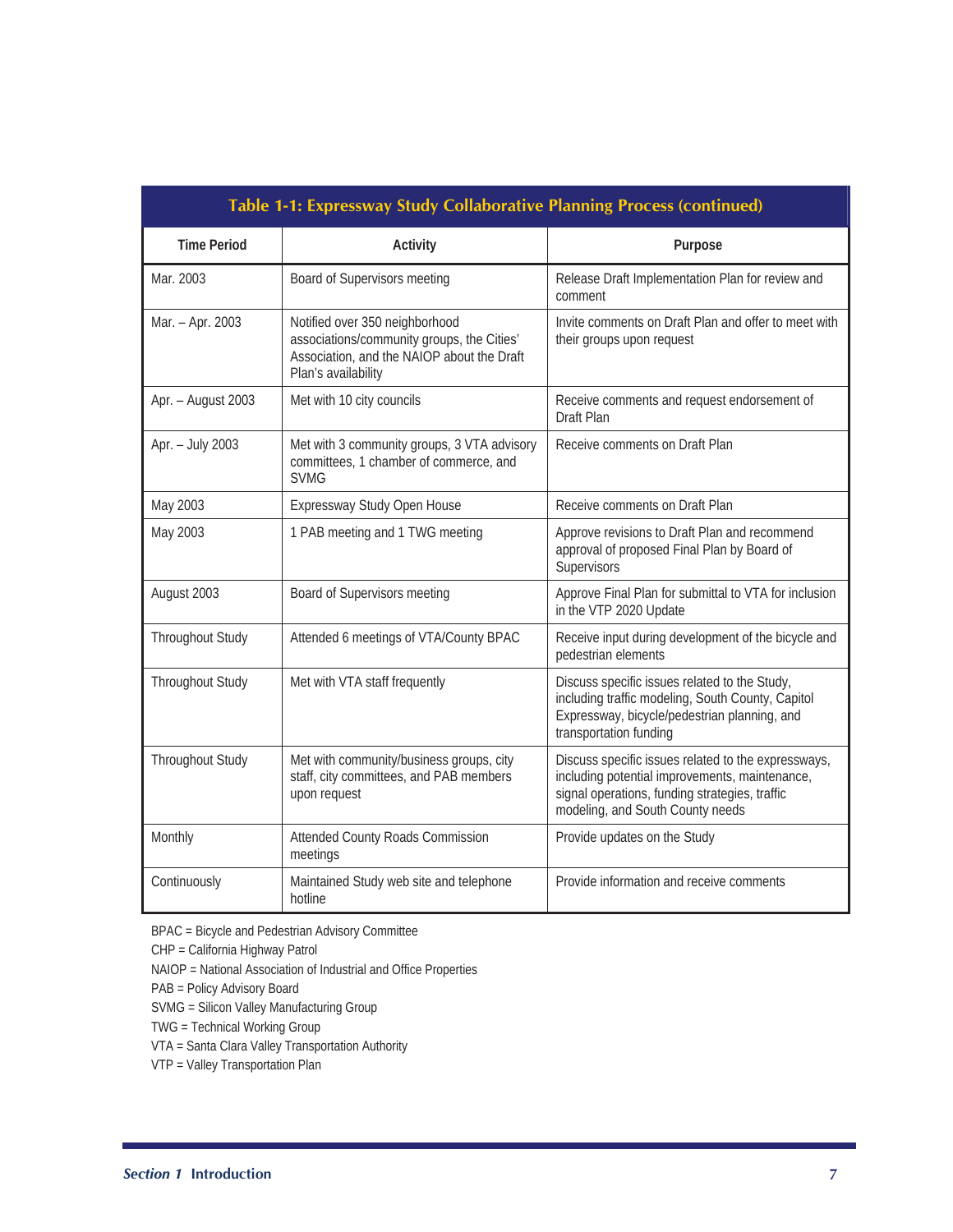| Table 1-1: Expressway Study Collaborative Planning Process (continued) |                                                                                                                                                   |                                                                                                                                                                                             |  |
|------------------------------------------------------------------------|---------------------------------------------------------------------------------------------------------------------------------------------------|---------------------------------------------------------------------------------------------------------------------------------------------------------------------------------------------|--|
| <b>Time Period</b>                                                     | Activity                                                                                                                                          | Purpose                                                                                                                                                                                     |  |
| Mar. 2003                                                              | Board of Supervisors meeting                                                                                                                      | Release Draft Implementation Plan for review and<br>comment                                                                                                                                 |  |
| Mar. - Apr. 2003                                                       | Notified over 350 neighborhood<br>associations/community groups, the Cities'<br>Association, and the NAIOP about the Draft<br>Plan's availability | Invite comments on Draft Plan and offer to meet with<br>their groups upon request                                                                                                           |  |
| Apr. - August 2003                                                     | Met with 10 city councils                                                                                                                         | Receive comments and request endorsement of<br>Draft Plan                                                                                                                                   |  |
| Apr. - July 2003                                                       | Met with 3 community groups, 3 VTA advisory<br>committees, 1 chamber of commerce, and<br><b>SVMG</b>                                              | Receive comments on Draft Plan                                                                                                                                                              |  |
| May 2003                                                               | Expressway Study Open House                                                                                                                       | Receive comments on Draft Plan                                                                                                                                                              |  |
| May 2003                                                               | 1 PAB meeting and 1 TWG meeting                                                                                                                   | Approve revisions to Draft Plan and recommend<br>approval of proposed Final Plan by Board of<br>Supervisors                                                                                 |  |
| August 2003                                                            | Board of Supervisors meeting                                                                                                                      | Approve Final Plan for submittal to VTA for inclusion<br>in the VTP 2020 Update                                                                                                             |  |
| <b>Throughout Study</b>                                                | Attended 6 meetings of VTA/County BPAC                                                                                                            | Receive input during development of the bicycle and<br>pedestrian elements                                                                                                                  |  |
| <b>Throughout Study</b>                                                | Met with VTA staff frequently                                                                                                                     | Discuss specific issues related to the Study,<br>including traffic modeling, South County, Capitol<br>Expressway, bicycle/pedestrian planning, and<br>transportation funding                |  |
| <b>Throughout Study</b>                                                | Met with community/business groups, city<br>staff, city committees, and PAB members<br>upon request                                               | Discuss specific issues related to the expressways,<br>including potential improvements, maintenance,<br>signal operations, funding strategies, traffic<br>modeling, and South County needs |  |
| Monthly                                                                | <b>Attended County Roads Commission</b><br>meetings                                                                                               | Provide updates on the Study                                                                                                                                                                |  |
| Continuously                                                           | Maintained Study web site and telephone<br>hotline                                                                                                | Provide information and receive comments                                                                                                                                                    |  |

BPAC = Bicycle and Pedestrian Advisory Committee

CHP = California Highway Patrol

NAIOP = National Association of Industrial and Office Properties

PAB = Policy Advisory Board

SVMG = Silicon Valley Manufacturing Group

TWG = Technical Working Group

VTA = Santa Clara Valley Transportation Authority

VTP = Valley Transportation Plan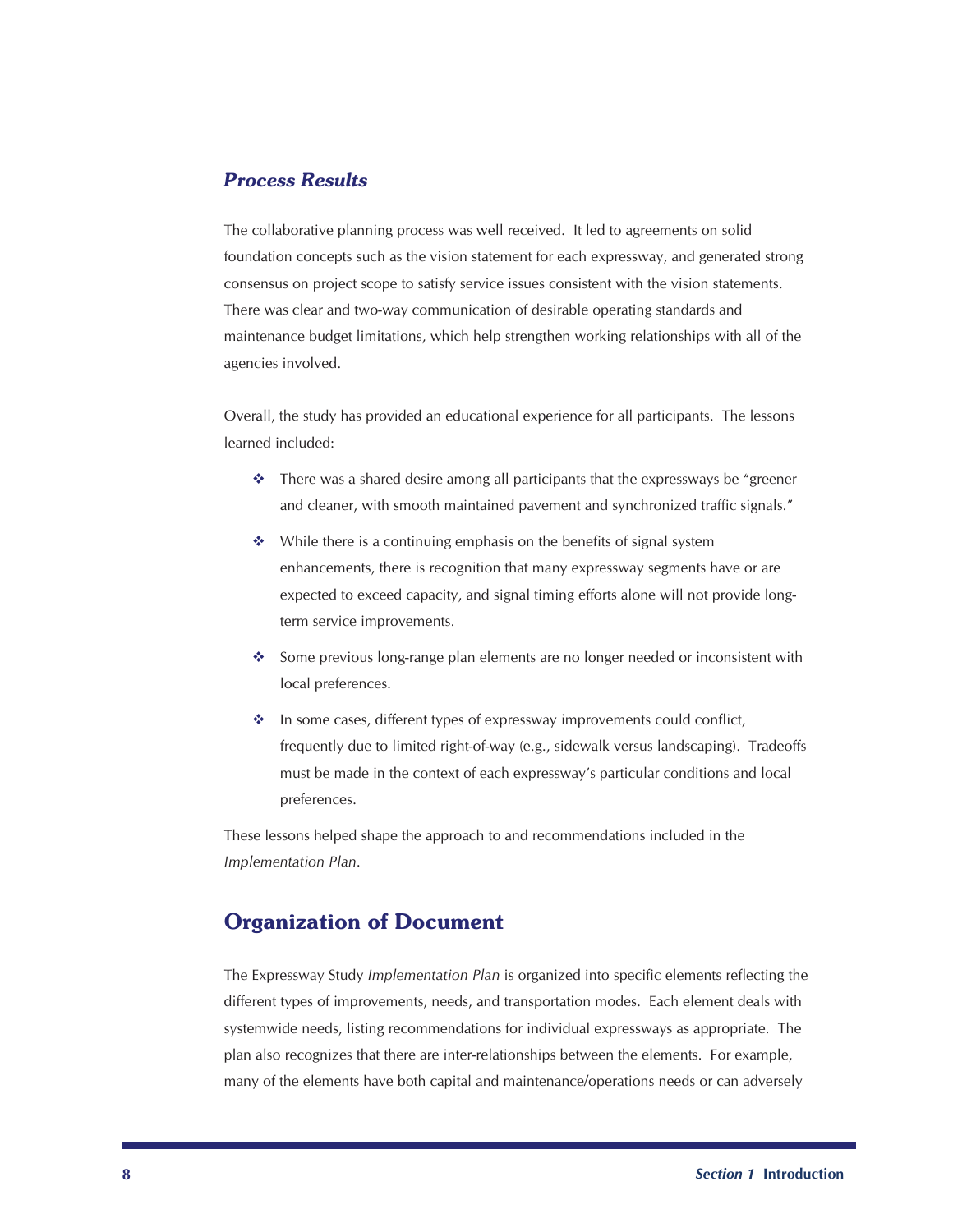#### *Process Results*

The collaborative planning process was well received. It led to agreements on solid foundation concepts such as the vision statement for each expressway, and generated strong consensus on project scope to satisfy service issues consistent with the vision statements. There was clear and two-way communication of desirable operating standards and maintenance budget limitations, which help strengthen working relationships with all of the agencies involved.

Overall, the study has provided an educational experience for all participants. The lessons learned included:

- $\bullet$  There was a shared desire among all participants that the expressways be "greener" and cleaner, with smooth maintained pavement and synchronized traffic signals."
- $\triangle$  While there is a continuing emphasis on the benefits of signal system enhancements, there is recognition that many expressway segments have or are expected to exceed capacity, and signal timing efforts alone will not provide longterm service improvements.
- Some previous long-range plan elements are no longer needed or inconsistent with local preferences.
- In some cases, different types of expressway improvements could conflict, frequently due to limited right-of-way (e.g., sidewalk versus landscaping). Tradeoffs must be made in the context of each expressway's particular conditions and local preferences.

These lessons helped shape the approach to and recommendations included in the *Implementation Plan*.

#### Organization of Document

The Expressway Study *Implementation Plan* is organized into specific elements reflecting the different types of improvements, needs, and transportation modes. Each element deals with systemwide needs, listing recommendations for individual expressways as appropriate. The plan also recognizes that there are inter-relationships between the elements. For example, many of the elements have both capital and maintenance/operations needs or can adversely